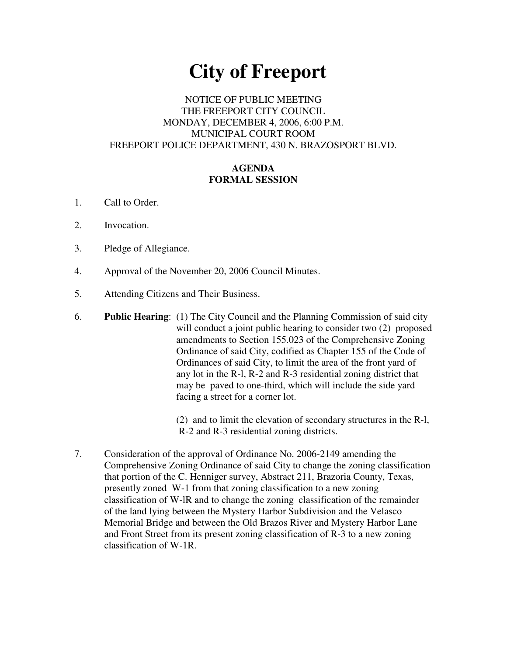# **City of Freeport**

### NOTICE OF PUBLIC MEETING THE FREEPORT CITY COUNCIL MONDAY, DECEMBER 4, 2006, 6:00 P.M. MUNICIPAL COURT ROOM FREEPORT POLICE DEPARTMENT, 430 N. BRAZOSPORT BLVD.

### **AGENDA FORMAL SESSION**

- 1. Call to Order.
- 2. Invocation.
- 3. Pledge of Allegiance.
- 4. Approval of the November 20, 2006 Council Minutes.
- 5. Attending Citizens and Their Business.
- 6. **Public Hearing**: (1) The City Council and the Planning Commission of said city will conduct a joint public hearing to consider two  $(2)$  proposed amendments to Section 155.023 of the Comprehensive Zoning Ordinance of said City, codified as Chapter 155 of the Code of Ordinances of said City, to limit the area of the front yard of any lot in the R-l, R-2 and R-3 residential zoning district that may be paved to one-third, which will include the side yard facing a street for a corner lot.

(2) and to limit the elevation of secondary structures in the R-l, R-2 and R-3 residential zoning districts.

7. Consideration of the approval of Ordinance No. 2006-2149 amending the Comprehensive Zoning Ordinance of said City to change the zoning classification that portion of the C. Henniger survey, Abstract 211, Brazoria County, Texas, presently zoned W-1 from that zoning classification to a new zoning classification of W-lR and to change the zoning classification of the remainder of the land lying between the Mystery Harbor Subdivision and the Velasco Memorial Bridge and between the Old Brazos River and Mystery Harbor Lane and Front Street from its present zoning classification of R-3 to a new zoning classification of W-1R.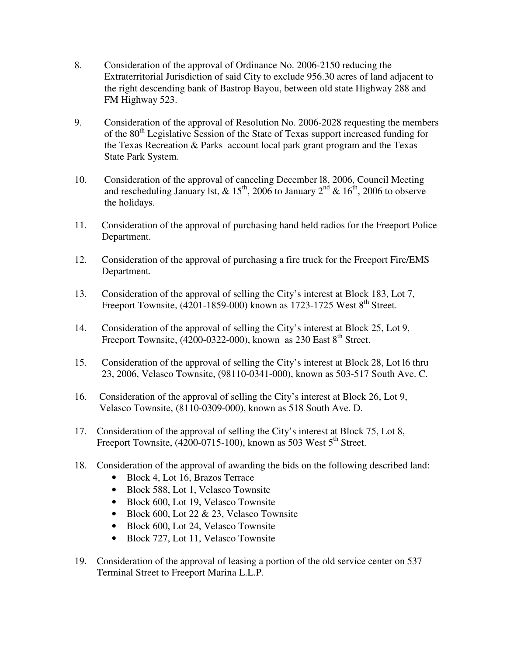- 8. Consideration of the approval of Ordinance No. 2006-2150 reducing the Extraterritorial Jurisdiction of said City to exclude 956.30 acres of land adjacent to the right descending bank of Bastrop Bayou, between old state Highway 288 and FM Highway 523.
- 9. Consideration of the approval of Resolution No. 2006-2028 requesting the members of the 80<sup>th</sup> Legislative Session of the State of Texas support increased funding for the Texas Recreation & Parks account local park grant program and the Texas State Park System.
- 10. Consideration of the approval of canceling December l8, 2006, Council Meeting and rescheduling January 1st, &  $15^{th}$ , 2006 to January  $2^{nd}$  &  $16^{th}$ , 2006 to observe the holidays.
- 11. Consideration of the approval of purchasing hand held radios for the Freeport Police Department.
- 12. Consideration of the approval of purchasing a fire truck for the Freeport Fire/EMS Department.
- 13. Consideration of the approval of selling the City's interest at Block 183, Lot 7, Freeport Townsite, (4201-1859-000) known as 1723-1725 West 8<sup>th</sup> Street.
- 14. Consideration of the approval of selling the City's interest at Block 25, Lot 9, Freeport Townsite,  $(4200-0322-000)$ , known as 230 East  $8<sup>th</sup>$  Street.
- 15. Consideration of the approval of selling the City's interest at Block 28, Lot l6 thru 23, 2006, Velasco Townsite, (98110-0341-000), known as 503-517 South Ave. C.
- 16. Consideration of the approval of selling the City's interest at Block 26, Lot 9, Velasco Townsite, (8110-0309-000), known as 518 South Ave. D.
- 17. Consideration of the approval of selling the City's interest at Block 75, Lot 8, Freeport Townsite, (4200-0715-100), known as 503 West 5<sup>th</sup> Street.
- 18. Consideration of the approval of awarding the bids on the following described land:
	- Block 4, Lot 16, Brazos Terrace
	- Block 588, Lot 1, Velasco Townsite
	- Block 600, Lot 19, Velasco Townsite
	- Block 600, Lot 22 & 23, Velasco Townsite
	- Block 600, Lot 24, Velasco Townsite
	- Block 727, Lot 11, Velasco Townsite
- 19. Consideration of the approval of leasing a portion of the old service center on 537 Terminal Street to Freeport Marina L.L.P.